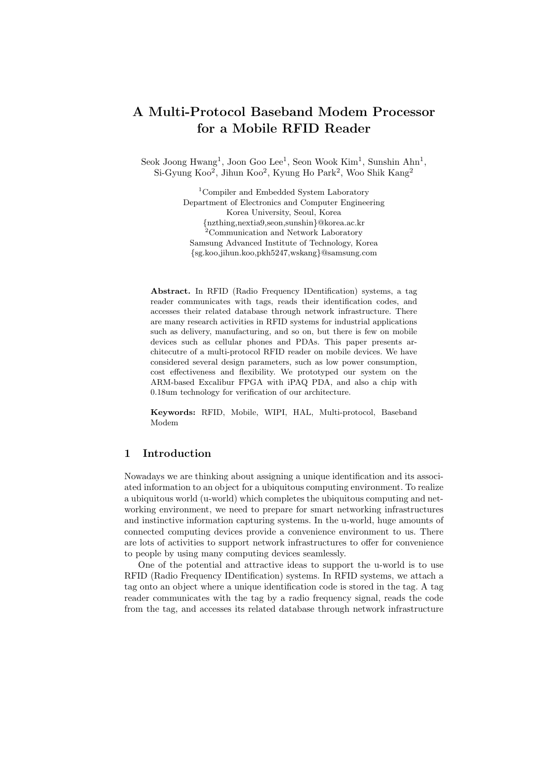# A Multi-Protocol Baseband Modem Processor for a Mobile RFID Reader

Seok Joong Hwang<sup>1</sup>, Joon Goo Lee<sup>1</sup>, Seon Wook Kim<sup>1</sup>, Sunshin Ahn<sup>1</sup>, Si-Gyung Koo<sup>2</sup>, Jihun Koo<sup>2</sup>, Kyung Ho Park<sup>2</sup>, Woo Shik Kang<sup>2</sup>

> <sup>1</sup>Compiler and Embedded System Laboratory Department of Electronics and Computer Engineering Korea University, Seoul, Korea {nzthing,nextia9,seon,sunshin}@korea.ac.kr <sup>2</sup>Communication and Network Laboratory Samsung Advanced Institute of Technology, Korea {sg.koo,jihun.koo,pkh5247,wskang}@samsung.com

Abstract. In RFID (Radio Frequency IDentification) systems, a tag reader communicates with tags, reads their identification codes, and accesses their related database through network infrastructure. There are many research activities in RFID systems for industrial applications such as delivery, manufacturing, and so on, but there is few on mobile devices such as cellular phones and PDAs. This paper presents architecutre of a multi-protocol RFID reader on mobile devices. We have considered several design parameters, such as low power consumption, cost effectiveness and flexibility. We prototyped our system on the ARM-based Excalibur FPGA with iPAQ PDA, and also a chip with 0.18um technology for verification of our architecture.

Keywords: RFID, Mobile, WIPI, HAL, Multi-protocol, Baseband Modem

## 1 Introduction

Nowadays we are thinking about assigning a unique identification and its associated information to an object for a ubiquitous computing environment. To realize a ubiquitous world (u-world) which completes the ubiquitous computing and networking environment, we need to prepare for smart networking infrastructures and instinctive information capturing systems. In the u-world, huge amounts of connected computing devices provide a convenience environment to us. There are lots of activities to support network infrastructures to offer for convenience to people by using many computing devices seamlessly.

One of the potential and attractive ideas to support the u-world is to use RFID (Radio Frequency IDentification) systems. In RFID systems, we attach a tag onto an object where a unique identification code is stored in the tag. A tag reader communicates with the tag by a radio frequency signal, reads the code from the tag, and accesses its related database through network infrastructure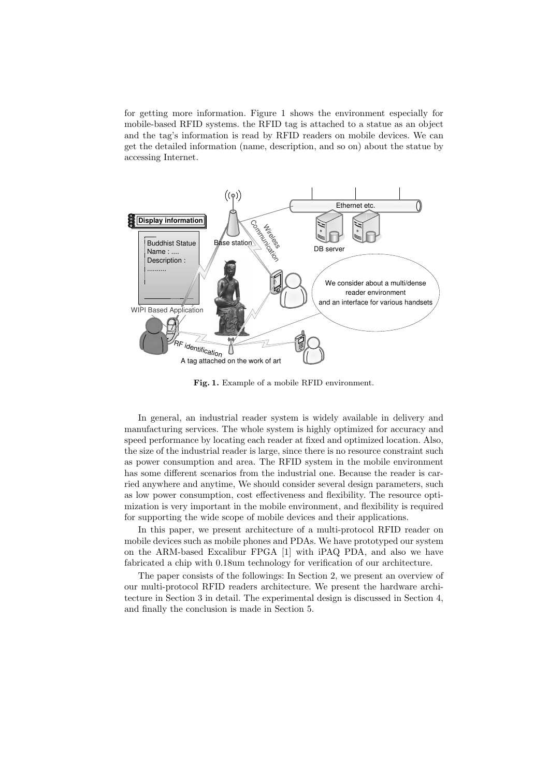for getting more information. Figure 1 shows the environment especially for mobile-based RFID systems. the RFID tag is attached to a statue as an object and the tag's information is read by RFID readers on mobile devices. We can get the detailed information (name, description, and so on) about the statue by accessing Internet.



Fig. 1. Example of a mobile RFID environment.

In general, an industrial reader system is widely available in delivery and manufacturing services. The whole system is highly optimized for accuracy and speed performance by locating each reader at fixed and optimized location. Also, the size of the industrial reader is large, since there is no resource constraint such as power consumption and area. The RFID system in the mobile environment has some different scenarios from the industrial one. Because the reader is carried anywhere and anytime, We should consider several design parameters, such as low power consumption, cost effectiveness and flexibility. The resource optimization is very important in the mobile environment, and flexibility is required for supporting the wide scope of mobile devices and their applications.

In this paper, we present architecture of a multi-protocol RFID reader on mobile devices such as mobile phones and PDAs. We have prototyped our system on the ARM-based Excalibur FPGA [1] with iPAQ PDA, and also we have fabricated a chip with 0.18um technology for verification of our architecture.

The paper consists of the followings: In Section 2, we present an overview of our multi-protocol RFID readers architecture. We present the hardware architecture in Section 3 in detail. The experimental design is discussed in Section 4, and finally the conclusion is made in Section 5.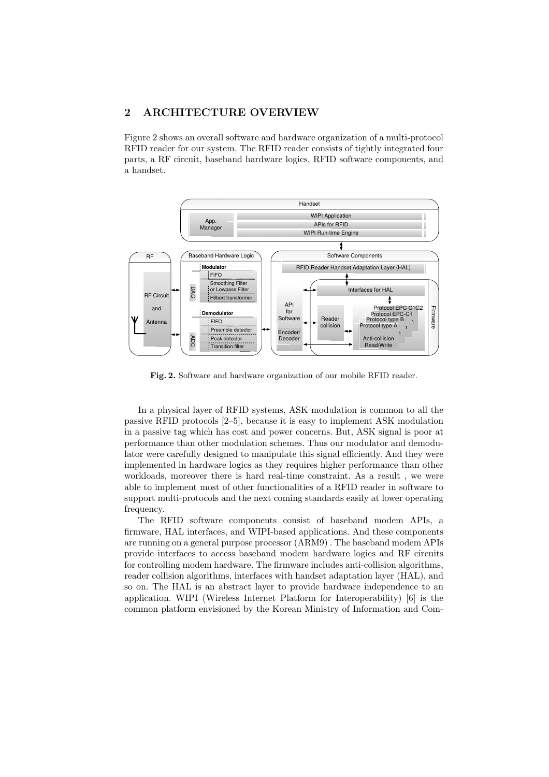# 2 ARCHITECTURE OVERVIEW

Figure 2 shows an overall software and hardware organization of a multi-protocol RFID reader for our system. The RFID reader consists of tightly integrated four parts, a RF circuit, baseband hardware logics, RFID software components, and a handset.



Fig. 2. Software and hardware organization of our mobile RFID reader.

In a physical layer of RFID systems, ASK modulation is common to all the passive RFID protocols [2–5], because it is easy to implement ASK modulation in a passive tag which has cost and power concerns. But, ASK signal is poor at performance than other modulation schemes. Thus our modulator and demodulator were carefully designed to manipulate this signal efficiently. And they were implemented in hardware logics as they requires higher performance than other workloads, moreover there is hard real-time constraint. As a result , we were able to implement most of other functionalities of a RFID reader in software to support multi-protocols and the next coming standards easily at lower operating frequency.

The RFID software components consist of baseband modem APIs, a firmware, HAL interfaces, and WIPI-based applications. And these components are running on a general purpose processor (ARM9) . The baseband modem APIs provide interfaces to access baseband modem hardware logics and RF circuits for controlling modem hardware. The firmware includes anti-collision algorithms, reader collision algorithms, interfaces with handset adaptation layer (HAL), and so on. The HAL is an abstract layer to provide hardware independence to an application. WIPI (Wireless Internet Platform for Interoperability) [6] is the common platform envisioned by the Korean Ministry of Information and Com-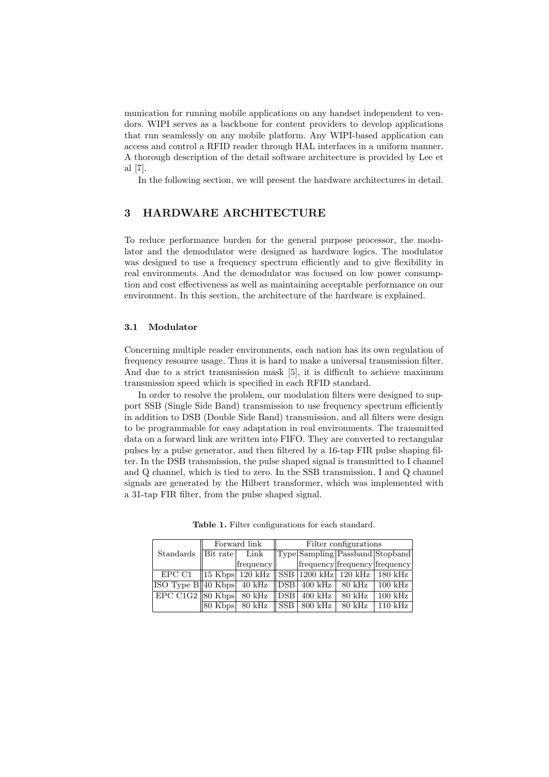munication for running mobile applications on any handset independent to vendors. WIPI serves as a backbone for content providers to develop applications that run seamlessly on any mobile platform. Any WIPI-based application can access and control a RFID reader through HAL interfaces in a uniform manner. A thorough description of the detail software architecture is provided by Lee et al [7].

In the following section, we will present the hardware architectures in detail.

# 3 HARDWARE ARCHITECTURE

To reduce performance burden for the general purpose processor, the modulator and the demodulator were designed as hardware logics. The modulator was designed to use a frequency spectrum efficiently and to give flexibility in real environments. And the demodulator was focused on low power consumption and cost effectiveness as well as maintaining acceptable performance on our environment. In this section, the architecture of the hardware is explained.

#### 3.1 Modulator

Concerning multiple reader environments, each nation has its own regulation of frequency resource usage. Thus it is hard to make a universal transmission filter. And due to a strict transmission mask [5], it is difficult to achieve maximum transmission speed which is specified in each RFID standard.

In order to resolve the problem, our modulation filters were designed to support SSB (Single Side Band) transmission to use frequency spectrum efficiently in addition to DSB (Double Side Band) transmission, and all filters were design to be programmable for easy adaptation in real environments. The transmitted data on a forward link are written into FIFO. They are converted to rectangular pulses by a pulse generator, and then filtered by a 16-tap FIR pulse shaping filter. In the DSB transmission, the pulse shaped signal is transmitted to I channel and Q channel, which is tied to zero. In the SSB transmission, I and Q channel signals are generated by the Hilbert transformer, which was implemented with a 31-tap FIR filter, from the pulse shaped signal.

|                                                  | Forward link       |                                                        | Filter configurations |               |                  |                                           |  |  |
|--------------------------------------------------|--------------------|--------------------------------------------------------|-----------------------|---------------|------------------|-------------------------------------------|--|--|
| Standards                                        | $\ $ Bit rate Link |                                                        |                       |               |                  | $\langle$ Type Sampling Passband Stopband |  |  |
|                                                  |                    | frequency                                              |                       |               |                  | frequency frequency frequency             |  |  |
| EPC C1                                           |                    | 15 Kbps  120 kHz    SSB   1200 kHz   120 kHz   180 kHz |                       |               |                  |                                           |  |  |
| ISO Type B  40 Kbps  40 kHz $ $ DSB  400 kHz $ $ |                    |                                                        |                       |               | $80 \text{ kHz}$ | $100 \text{ kHz}$                         |  |  |
| $EPC C1G2$ 80 Kbps 80 kHz                        |                    |                                                        |                       | $DSB 400$ kHz | $80 \text{ kHz}$ | $100 \text{ kHz}$                         |  |  |
|                                                  |                    | $ 80 \text{ Kbps} $ 80 kHz                             |                       | $SSB$ 800 kHz | $80 \text{ kHz}$ | $110 \text{ kHz}$                         |  |  |

Table 1. Filter configurations for each standard.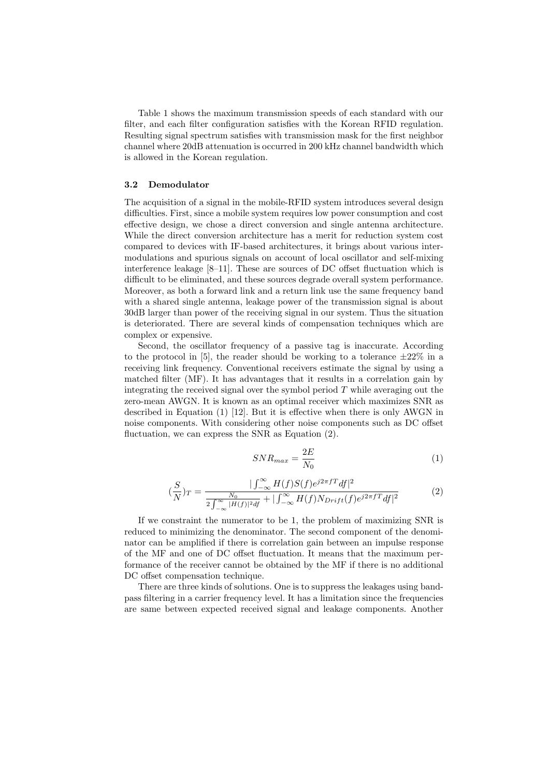Table 1 shows the maximum transmission speeds of each standard with our filter, and each filter configuration satisfies with the Korean RFID regulation. Resulting signal spectrum satisfies with transmission mask for the first neighbor channel where 20dB attenuation is occurred in 200 kHz channel bandwidth which is allowed in the Korean regulation.

#### 3.2 Demodulator

The acquisition of a signal in the mobile-RFID system introduces several design difficulties. First, since a mobile system requires low power consumption and cost effective design, we chose a direct conversion and single antenna architecture. While the direct conversion architecture has a merit for reduction system cost compared to devices with IF-based architectures, it brings about various intermodulations and spurious signals on account of local oscillator and self-mixing interference leakage [8–11]. These are sources of DC offset fluctuation which is difficult to be eliminated, and these sources degrade overall system performance. Moreover, as both a forward link and a return link use the same frequency band with a shared single antenna, leakage power of the transmission signal is about 30dB larger than power of the receiving signal in our system. Thus the situation is deteriorated. There are several kinds of compensation techniques which are complex or expensive.

Second, the oscillator frequency of a passive tag is inaccurate. According to the protocol in [5], the reader should be working to a tolerance  $\pm 22\%$  in a receiving link frequency. Conventional receivers estimate the signal by using a matched filter (MF). It has advantages that it results in a correlation gain by integrating the received signal over the symbol period  $T$  while averaging out the zero-mean AWGN. It is known as an optimal receiver which maximizes SNR as described in Equation (1) [12]. But it is effective when there is only AWGN in noise components. With considering other noise components such as DC offset fluctuation, we can express the SNR as Equation (2).

$$
SNR_{max} = \frac{2E}{N_0} \tag{1}
$$

$$
\left(\frac{S}{N}\right)_{T} = \frac{| \int_{-\infty}^{\infty} H(f)S(f)e^{j2\pi f T} df |^{2}}{2\int_{-\infty}^{\infty} |H(f)|^{2} df} + |\int_{-\infty}^{\infty} H(f)N_{Drift}(f)e^{j2\pi f T} df|^{2}
$$
(2)

If we constraint the numerator to be 1, the problem of maximizing SNR is reduced to minimizing the denominator. The second component of the denominator can be amplified if there is correlation gain between an impulse response of the MF and one of DC offset fluctuation. It means that the maximum performance of the receiver cannot be obtained by the MF if there is no additional DC offset compensation technique.

There are three kinds of solutions. One is to suppress the leakages using bandpass filtering in a carrier frequency level. It has a limitation since the frequencies are same between expected received signal and leakage components. Another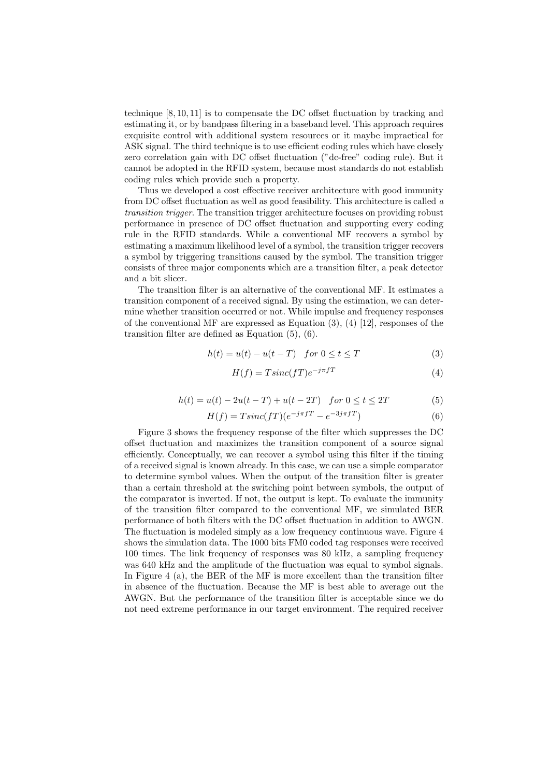technique [8, 10, 11] is to compensate the DC offset fluctuation by tracking and estimating it, or by bandpass filtering in a baseband level. This approach requires exquisite control with additional system resources or it maybe impractical for ASK signal. The third technique is to use efficient coding rules which have closely zero correlation gain with DC offset fluctuation ("dc-free" coding rule). But it cannot be adopted in the RFID system, because most standards do not establish coding rules which provide such a property.

Thus we developed a cost effective receiver architecture with good immunity from DC offset fluctuation as well as good feasibility. This architecture is called a transition trigger. The transition trigger architecture focuses on providing robust performance in presence of DC offset fluctuation and supporting every coding rule in the RFID standards. While a conventional MF recovers a symbol by estimating a maximum likelihood level of a symbol, the transition trigger recovers a symbol by triggering transitions caused by the symbol. The transition trigger consists of three major components which are a transition filter, a peak detector and a bit slicer.

The transition filter is an alternative of the conventional MF. It estimates a transition component of a received signal. By using the estimation, we can determine whether transition occurred or not. While impulse and frequency responses of the conventional MF are expressed as Equation  $(3)$ ,  $(4)$  [12], responses of the transition filter are defined as Equation (5), (6).

$$
h(t) = u(t) - u(t - T) \quad \text{for } 0 \le t \le T \tag{3}
$$

$$
H(f) = T\text{sinc}(f) e^{-j\pi fT} \tag{4}
$$

$$
h(t) = u(t) - 2u(t - T) + u(t - 2T) \quad \text{for } 0 \le t \le 2T \tag{5}
$$

$$
H(f) = T\mathrm{sinc}(fT)(e^{-j\pi fT} - e^{-3j\pi fT})\tag{6}
$$

Figure 3 shows the frequency response of the filter which suppresses the DC offset fluctuation and maximizes the transition component of a source signal efficiently. Conceptually, we can recover a symbol using this filter if the timing of a received signal is known already. In this case, we can use a simple comparator to determine symbol values. When the output of the transition filter is greater than a certain threshold at the switching point between symbols, the output of the comparator is inverted. If not, the output is kept. To evaluate the immunity of the transition filter compared to the conventional MF, we simulated BER performance of both filters with the DC offset fluctuation in addition to AWGN. The fluctuation is modeled simply as a low frequency continuous wave. Figure 4 shows the simulation data. The 1000 bits FM0 coded tag responses were received 100 times. The link frequency of responses was 80 kHz, a sampling frequency was 640 kHz and the amplitude of the fluctuation was equal to symbol signals. In Figure 4 (a), the BER of the MF is more excellent than the transition filter in absence of the fluctuation. Because the MF is best able to average out the AWGN. But the performance of the transition filter is acceptable since we do not need extreme performance in our target environment. The required receiver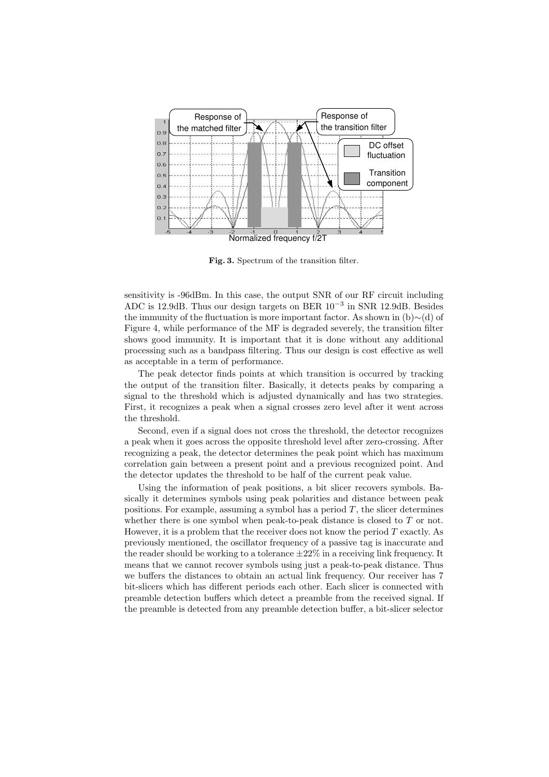

Fig. 3. Spectrum of the transition filter.

sensitivity is -96dBm. In this case, the output SNR of our RF circuit including ADC is 12.9dB. Thus our design targets on BER 10<sup>−</sup><sup>3</sup> in SNR 12.9dB. Besides the immunity of the fluctuation is more important factor. As shown in (b)∼(d) of Figure 4, while performance of the MF is degraded severely, the transition filter shows good immunity. It is important that it is done without any additional processing such as a bandpass filtering. Thus our design is cost effective as well as acceptable in a term of performance.

The peak detector finds points at which transition is occurred by tracking the output of the transition filter. Basically, it detects peaks by comparing a signal to the threshold which is adjusted dynamically and has two strategies. First, it recognizes a peak when a signal crosses zero level after it went across the threshold.

Second, even if a signal does not cross the threshold, the detector recognizes a peak when it goes across the opposite threshold level after zero-crossing. After recognizing a peak, the detector determines the peak point which has maximum correlation gain between a present point and a previous recognized point. And the detector updates the threshold to be half of the current peak value.

Using the information of peak positions, a bit slicer recovers symbols. Basically it determines symbols using peak polarities and distance between peak positions. For example, assuming a symbol has a period  $T$ , the slicer determines whether there is one symbol when peak-to-peak distance is closed to T or not. However, it is a problem that the receiver does not know the period  $T$  exactly. As previously mentioned, the oscillator frequency of a passive tag is inaccurate and the reader should be working to a tolerance  $\pm 22\%$  in a receiving link frequency. It means that we cannot recover symbols using just a peak-to-peak distance. Thus we buffers the distances to obtain an actual link frequency. Our receiver has 7 bit-slicers which has different periods each other. Each slicer is connected with preamble detection buffers which detect a preamble from the received signal. If the preamble is detected from any preamble detection buffer, a bit-slicer selector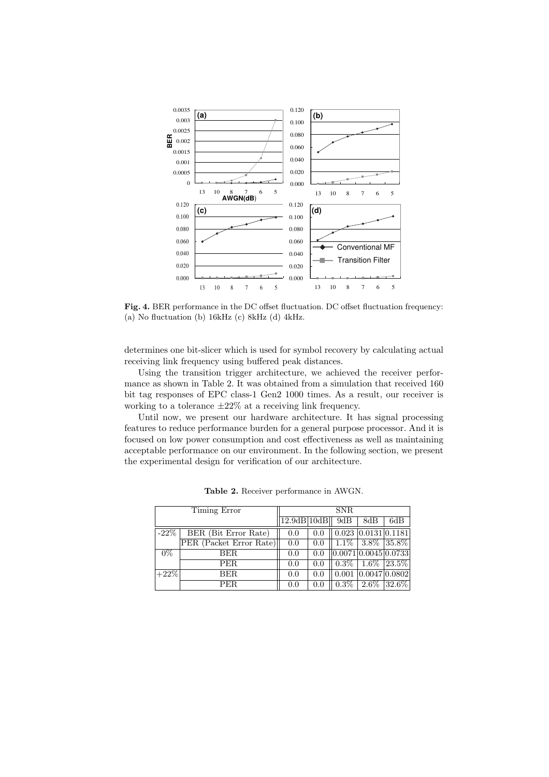

Fig. 4. BER performance in the DC offset fluctuation. DC offset fluctuation frequency: (a) No fluctuation (b) 16kHz (c) 8kHz (d) 4kHz.

determines one bit-slicer which is used for symbol recovery by calculating actual receiving link frequency using buffered peak distances.

Using the transition trigger architecture, we achieved the receiver performance as shown in Table 2. It was obtained from a simulation that received 160 bit tag responses of EPC class-1 Gen2 1000 times. As a result, our receiver is working to a tolerance  $\pm 22\%$  at a receiving link frequency.

Until now, we present our hardware architecture. It has signal processing features to reduce performance burden for a general purpose processor. And it is focused on low power consumption and cost effectiveness as well as maintaining acceptable performance on our environment. In the following section, we present the experimental design for verification of our architecture.

| Timing Error |                         | <b>SNR</b>     |     |                      |                          |                |  |  |
|--------------|-------------------------|----------------|-----|----------------------|--------------------------|----------------|--|--|
|              |                         | $12.9dB$  10dB |     | 9dB                  | 8dB                      | 6dB            |  |  |
| $-22\%$      | BER (Bit Error Rate)    | 0.0            | 0.0 |                      | $0.023$ $ 0.0131 0.1181$ |                |  |  |
|              | PER (Packet Error Rate) | 0.0            | 0.0 |                      | $1.1\%$   3.8\%   35.8\% |                |  |  |
| $0\%$        | BER.                    | 0.0            | 0.0 | 0.0071 0.0045 0.0733 |                          |                |  |  |
|              | PER.                    | 0.0            | 0.0 | $0.3\%$              |                          | $1.6\%$ 23.5\% |  |  |
| $+22\%$      | <b>BER</b>              | 0.0            | 0.0 | 0.001                | 0.0047 0.0802            |                |  |  |
|              | PER.                    | 0.0            | 0.0 | $0.3\%$              |                          | $2.6\%$ 32.6\% |  |  |

Table 2. Receiver performance in AWGN.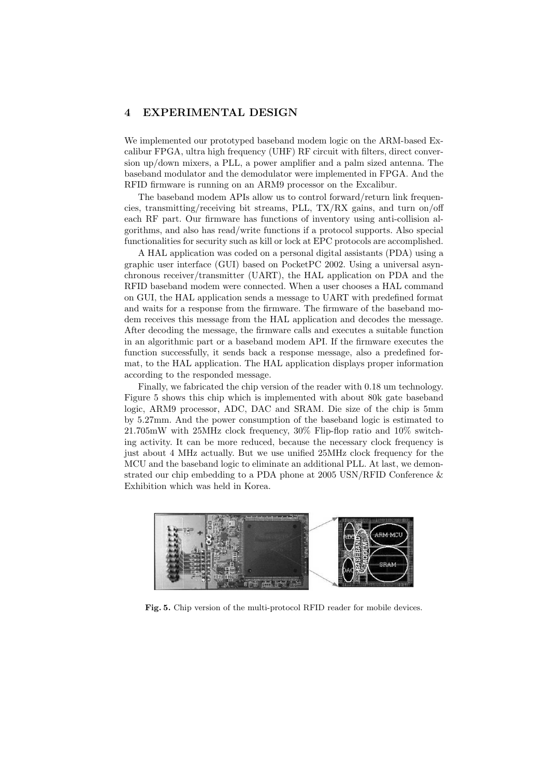## 4 EXPERIMENTAL DESIGN

We implemented our prototyped baseband modem logic on the ARM-based Excalibur FPGA, ultra high frequency (UHF) RF circuit with filters, direct conversion up/down mixers, a PLL, a power amplifier and a palm sized antenna. The baseband modulator and the demodulator were implemented in FPGA. And the RFID firmware is running on an ARM9 processor on the Excalibur.

The baseband modem APIs allow us to control forward/return link frequencies, transmitting/receiving bit streams, PLL, TX/RX gains, and turn on/off each RF part. Our firmware has functions of inventory using anti-collision algorithms, and also has read/write functions if a protocol supports. Also special functionalities for security such as kill or lock at EPC protocols are accomplished.

A HAL application was coded on a personal digital assistants (PDA) using a graphic user interface (GUI) based on PocketPC 2002. Using a universal asynchronous receiver/transmitter (UART), the HAL application on PDA and the RFID baseband modem were connected. When a user chooses a HAL command on GUI, the HAL application sends a message to UART with predefined format and waits for a response from the firmware. The firmware of the baseband modem receives this message from the HAL application and decodes the message. After decoding the message, the firmware calls and executes a suitable function in an algorithmic part or a baseband modem API. If the firmware executes the function successfully, it sends back a response message, also a predefined format, to the HAL application. The HAL application displays proper information according to the responded message.

Finally, we fabricated the chip version of the reader with 0.18 um technology. Figure 5 shows this chip which is implemented with about 80k gate baseband logic, ARM9 processor, ADC, DAC and SRAM. Die size of the chip is 5mm by 5.27mm. And the power consumption of the baseband logic is estimated to 21.705mW with 25MHz clock frequency, 30% Flip-flop ratio and 10% switching activity. It can be more reduced, because the necessary clock frequency is just about 4 MHz actually. But we use unified 25MHz clock frequency for the MCU and the baseband logic to eliminate an additional PLL. At last, we demonstrated our chip embedding to a PDA phone at 2005 USN/RFID Conference & Exhibition which was held in Korea.



Fig. 5. Chip version of the multi-protocol RFID reader for mobile devices.